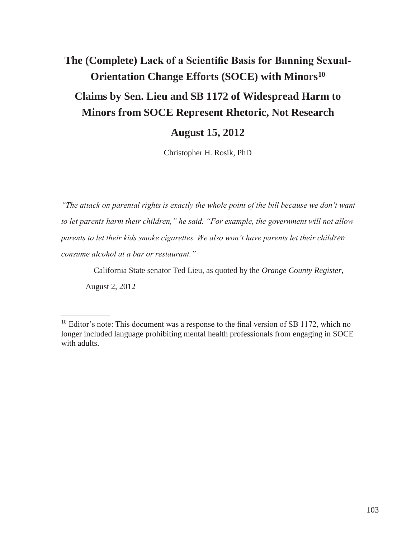# **The (Complete) Lack of a Scientific Basis for Banning Sexual-Orientation Change Efforts (SOCE) with Minors<sup>10</sup> Claims by Sen. Lieu and SB 1172 of Widespread Harm to Minors from SOCE Represent Rhetoric, Not Research**

# **August 15, 2012**

Christopher H. Rosik, PhD

*"The attack on parental rights is exactly the whole point of the bill because we don't want to let parents harm their children," he said. "For example, the government will not allow parents to let their kids smoke cigarettes. We also won't have parents let their children consume alcohol at a bar or restaurant."*

—California State senator Ted Lieu, as quoted by the *Orange County Register*,

August 2, 2012

 $10$  Editor's note: This document was a response to the final version of SB 1172, which no longer included language prohibiting mental health professionals from engaging in SOCE with adults.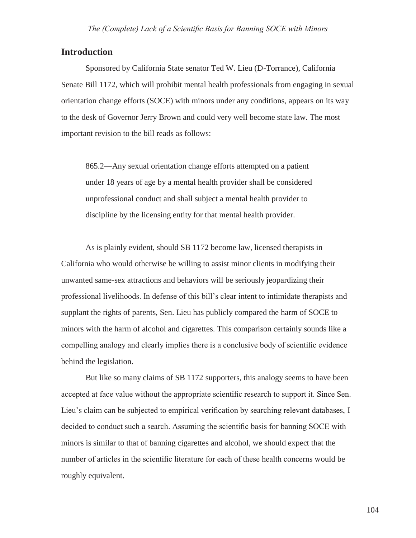## **Introduction**

Sponsored by California State senator Ted W. Lieu (D-Torrance), California Senate Bill 1172, which will prohibit mental health professionals from engaging in sexual orientation change efforts (SOCE) with minors under any conditions, appears on its way to the desk of Governor Jerry Brown and could very well become state law. The most important revision to the bill reads as follows:

865.2—Any sexual orientation change efforts attempted on a patient under 18 years of age by a mental health provider shall be considered unprofessional conduct and shall subject a mental health provider to discipline by the licensing entity for that mental health provider.

As is plainly evident, should SB 1172 become law, licensed therapists in California who would otherwise be willing to assist minor clients in modifying their unwanted same-sex attractions and behaviors will be seriously jeopardizing their professional livelihoods. In defense of this bill's clear intent to intimidate therapists and supplant the rights of parents, Sen. Lieu has publicly compared the harm of SOCE to minors with the harm of alcohol and cigarettes. This comparison certainly sounds like a compelling analogy and clearly implies there is a conclusive body of scientific evidence behind the legislation.

But like so many claims of SB 1172 supporters, this analogy seems to have been accepted at face value without the appropriate scientific research to support it. Since Sen. Lieu's claim can be subjected to empirical verification by searching relevant databases, I decided to conduct such a search. Assuming the scientific basis for banning SOCE with minors is similar to that of banning cigarettes and alcohol, we should expect that the number of articles in the scientific literature for each of these health concerns would be roughly equivalent.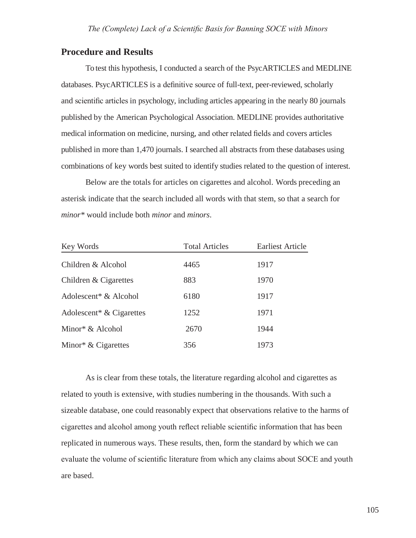## **Procedure and Results**

To test this hypothesis, I conducted a search of the PsycARTICLES and MEDLINE databases. PsycARTICLES is a definitive source of full-text, peer-reviewed, scholarly and scientific articles in psychology, including articles appearing in the nearly 80 journals published by the American Psychological Association. MEDLINE provides authoritative medical information on medicine, nursing, and other related fields and covers articles published in more than 1,470 journals. I searched all abstracts from these databases using combinations of key words best suited to identify studies related to the question of interest.

Below are the totals for articles on cigarettes and alcohol. Words preceding an asterisk indicate that the search included all words with that stem, so that a search for *minor\** would include both *minor* and *minors*.

| Key Words                            | <b>Total Articles</b> | <b>Earliest Article</b> |
|--------------------------------------|-----------------------|-------------------------|
| Children & Alcohol                   | 4465                  | 1917                    |
| Children & Cigarettes                | 883                   | 1970                    |
| Adolescent <sup>*</sup> & Alcohol    | 6180                  | 1917                    |
| Adolescent <sup>*</sup> & Cigarettes | 1252                  | 1971                    |
| Minor* $&$ Alcohol                   | 2670                  | 1944                    |
| Minor* $& Cigareites$                | 356                   | 1973                    |

As is clear from these totals, the literature regarding alcohol and cigarettes as related to youth is extensive, with studies numbering in the thousands. With such a sizeable database, one could reasonably expect that observations relative to the harms of cigarettes and alcohol among youth reflect reliable scientific information that has been replicated in numerous ways. These results, then, form the standard by which we can evaluate the volume of scientific literature from which any claims about SOCE and youth are based.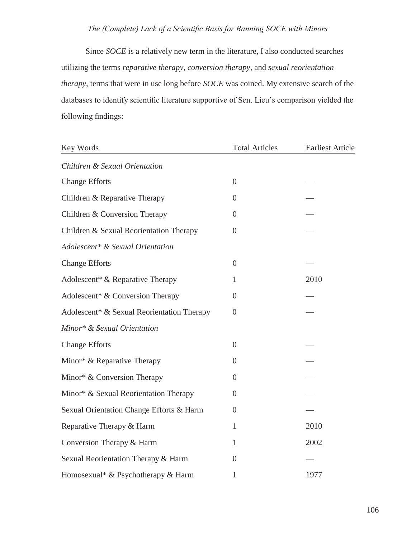Since *SOCE* is a relatively new term in the literature, I also conducted searches utilizing the terms *reparative therapy*, *conversion therapy*, and *sexual reorientation therapy*, terms that were in use long before *SOCE* was coined. My extensive search of the databases to identify scientific literature supportive of Sen. Lieu's comparison yielded the following findings:

| Key Words                                    | <b>Total Articles</b> | <b>Earliest Article</b> |
|----------------------------------------------|-----------------------|-------------------------|
| Children & Sexual Orientation                |                       |                         |
| <b>Change Efforts</b>                        | $\overline{0}$        |                         |
| Children & Reparative Therapy                | $\overline{0}$        |                         |
| Children & Conversion Therapy                | $\overline{0}$        |                         |
| Children & Sexual Reorientation Therapy      | $\overline{0}$        |                         |
| Adolescent* & Sexual Orientation             |                       |                         |
| <b>Change Efforts</b>                        | $\overline{0}$        |                         |
| Adolescent <sup>*</sup> & Reparative Therapy | $\mathbf{1}$          | 2010                    |
| Adolescent* & Conversion Therapy             | $\overline{0}$        |                         |
| Adolescent* & Sexual Reorientation Therapy   | $\overline{0}$        |                         |
| Minor* & Sexual Orientation                  |                       |                         |
| <b>Change Efforts</b>                        | $\overline{0}$        |                         |
| Minor* & Reparative Therapy                  | $\overline{0}$        |                         |
| Minor* & Conversion Therapy                  | $\overline{0}$        |                         |
| Minor* & Sexual Reorientation Therapy        | $\theta$              |                         |
| Sexual Orientation Change Efforts & Harm     | $\boldsymbol{0}$      |                         |
| Reparative Therapy & Harm                    | $\mathbf{1}$          | 2010                    |
| Conversion Therapy & Harm                    | $\mathbf{1}$          | 2002                    |
| Sexual Reorientation Therapy & Harm          | $\overline{0}$        |                         |
| Homosexual* & Psychotherapy & Harm           | $\mathbf{1}$          | 1977                    |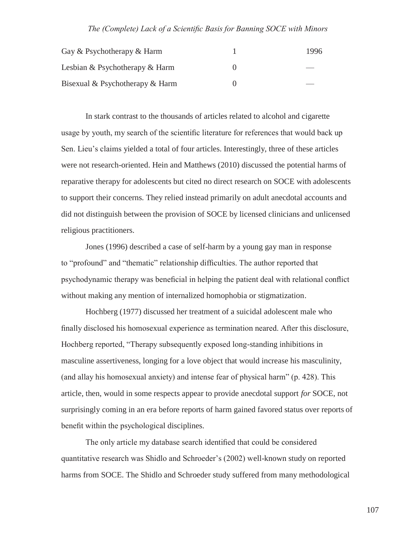| Gay & Psychotherapy & Harm      | 1996 |
|---------------------------------|------|
| Lesbian & Psychotherapy & Harm  |      |
| Bisexual & Psychotherapy & Harm |      |

In stark contrast to the thousands of articles related to alcohol and cigarette usage by youth, my search of the scientific literature for references that would back up Sen. Lieu's claims yielded a total of four articles. Interestingly, three of these articles were not research-oriented. Hein and Matthews (2010) discussed the potential harms of reparative therapy for adolescents but cited no direct research on SOCE with adolescents to support their concerns. They relied instead primarily on adult anecdotal accounts and did not distinguish between the provision of SOCE by licensed clinicians and unlicensed religious practitioners.

Jones (1996) described a case of self-harm by a young gay man in response to "profound" and "thematic" relationship difficulties. The author reported that psychodynamic therapy was beneficial in helping the patient deal with relational conflict without making any mention of internalized homophobia or stigmatization.

Hochberg (1977) discussed her treatment of a suicidal adolescent male who finally disclosed his homosexual experience as termination neared. After this disclosure, Hochberg reported, "Therapy subsequently exposed long-standing inhibitions in masculine assertiveness, longing for a love object that would increase his masculinity, (and allay his homosexual anxiety) and intense fear of physical harm" (p. 428). This article, then, would in some respects appear to provide anecdotal support *for* SOCE, not surprisingly coming in an era before reports of harm gained favored status over reports of benefit within the psychological disciplines.

The only article my database search identified that could be considered quantitative research was Shidlo and Schroeder's (2002) well-known study on reported harms from SOCE. The Shidlo and Schroeder study suffered from many methodological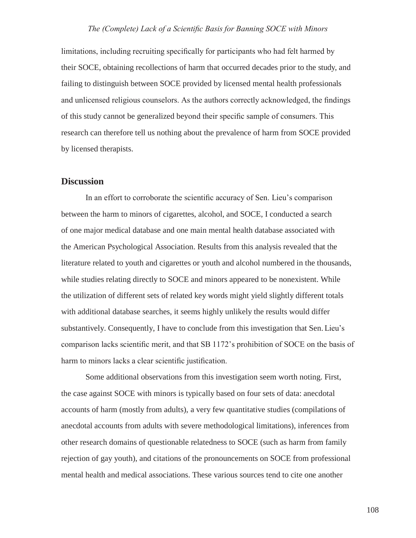limitations, including recruiting specifically for participants who had felt harmed by their SOCE, obtaining recollections of harm that occurred decades prior to the study, and failing to distinguish between SOCE provided by licensed mental health professionals and unlicensed religious counselors. As the authors correctly acknowledged, the findings of this study cannot be generalized beyond their specific sample of consumers. This research can therefore tell us nothing about the prevalence of harm from SOCE provided by licensed therapists.

#### **Discussion**

In an effort to corroborate the scientific accuracy of Sen. Lieu's comparison between the harm to minors of cigarettes, alcohol, and SOCE, I conducted a search of one major medical database and one main mental health database associated with the American Psychological Association. Results from this analysis revealed that the literature related to youth and cigarettes or youth and alcohol numbered in the thousands, while studies relating directly to SOCE and minors appeared to be nonexistent. While the utilization of different sets of related key words might yield slightly different totals with additional database searches, it seems highly unlikely the results would differ substantively. Consequently, I have to conclude from this investigation that Sen. Lieu's comparison lacks scientific merit, and that SB 1172's prohibition of SOCE on the basis of harm to minors lacks a clear scientific justification.

Some additional observations from this investigation seem worth noting. First, the case against SOCE with minors is typically based on four sets of data: anecdotal accounts of harm (mostly from adults), a very few quantitative studies (compilations of anecdotal accounts from adults with severe methodological limitations), inferences from other research domains of questionable relatedness to SOCE (such as harm from family rejection of gay youth), and citations of the pronouncements on SOCE from professional mental health and medical associations. These various sources tend to cite one another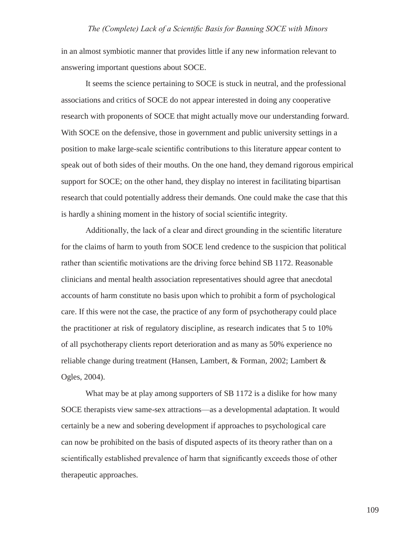in an almost symbiotic manner that provides little if any new information relevant to answering important questions about SOCE.

It seems the science pertaining to SOCE is stuck in neutral, and the professional associations and critics of SOCE do not appear interested in doing any cooperative research with proponents of SOCE that might actually move our understanding forward. With SOCE on the defensive, those in government and public university settings in a position to make large-scale scientific contributions to this literature appear content to speak out of both sides of their mouths. On the one hand, they demand rigorous empirical support for SOCE; on the other hand, they display no interest in facilitating bipartisan research that could potentially address their demands. One could make the case that this is hardly a shining moment in the history of social scientific integrity.

Additionally, the lack of a clear and direct grounding in the scientific literature for the claims of harm to youth from SOCE lend credence to the suspicion that political rather than scientific motivations are the driving force behind SB 1172. Reasonable clinicians and mental health association representatives should agree that anecdotal accounts of harm constitute no basis upon which to prohibit a form of psychological care. If this were not the case, the practice of any form of psychotherapy could place the practitioner at risk of regulatory discipline, as research indicates that 5 to 10% of all psychotherapy clients report deterioration and as many as 50% experience no reliable change during treatment (Hansen, Lambert, & Forman, 2002; Lambert & Ogles, 2004).

What may be at play among supporters of SB 1172 is a dislike for how many SOCE therapists view same-sex attractions—as a developmental adaptation. It would certainly be a new and sobering development if approaches to psychological care can now be prohibited on the basis of disputed aspects of its theory rather than on a scientifically established prevalence of harm that significantly exceeds those of other therapeutic approaches.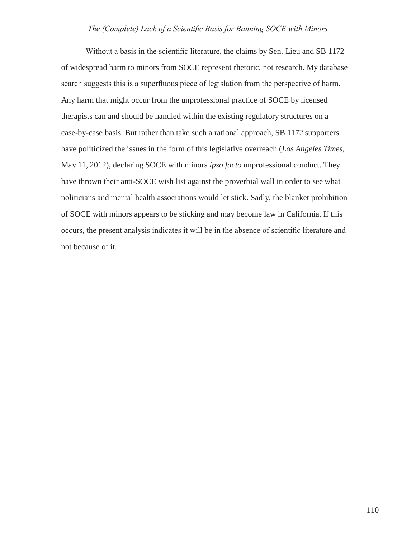Without a basis in the scientific literature, the claims by Sen. Lieu and SB 1172 of widespread harm to minors from SOCE represent rhetoric, not research. My database search suggests this is a superfluous piece of legislation from the perspective of harm. Any harm that might occur from the unprofessional practice of SOCE by licensed therapists can and should be handled within the existing regulatory structures on a case-by-case basis. But rather than take such a rational approach, SB 1172 supporters have politicized the issues in the form of this legislative overreach (*Los Angeles Times*, May 11, 2012), declaring SOCE with minors *ipso facto* unprofessional conduct. They have thrown their anti-SOCE wish list against the proverbial wall in order to see what politicians and mental health associations would let stick. Sadly, the blanket prohibition of SOCE with minors appears to be sticking and may become law in California. If this occurs, the present analysis indicates it will be in the absence of scientific literature and not because of it.